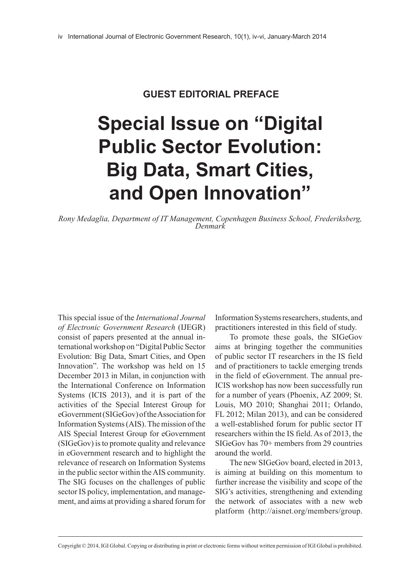## **GUEST EDITORIAL PREFACE**

## **Special Issue on "Digital Public Sector Evolution: Big Data, Smart Cities, and Open Innovation"**

*Rony Medaglia, Department of IT Management, Copenhagen Business School, Frederiksberg, Denmark*

This special issue of the *International Journal of Electronic Government Research* (IJEGR) consist of papers presented at the annual international workshop on "Digital Public Sector Evolution: Big Data, Smart Cities, and Open Innovation". The workshop was held on 15 December 2013 in Milan, in conjunction with the International Conference on Information Systems (ICIS 2013), and it is part of the activities of the Special Interest Group for eGovernment (SIGeGov) of the Association for Information Systems (AIS). The mission of the AIS Special Interest Group for eGovernment (SIGeGov) is to promote quality and relevance in eGovernment research and to highlight the relevance of research on Information Systems in the public sector within the AIS community. The SIG focuses on the challenges of public sector IS policy, implementation, and management, and aims at providing a shared forum for

Information Systems researchers, students, and practitioners interested in this field of study.

To promote these goals, the SIGeGov aims at bringing together the communities of public sector IT researchers in the IS field and of practitioners to tackle emerging trends in the field of eGovernment. The annual pre-ICIS workshop has now been successfully run for a number of years (Phoenix, AZ 2009; St. Louis, MO 2010; Shanghai 2011; Orlando, FL 2012; Milan 2013), and can be considered a well-established forum for public sector IT researchers within the IS field. As of 2013, the SIGeGov has 70+ members from 29 countries around the world.

The new SIGeGov board, elected in 2013, is aiming at building on this momentum to further increase the visibility and scope of the SIG's activities, strengthening and extending the network of associates with a new web platform ([http://aisnet.org/members/group.](http://aisnet.org/members/group.aspx?id=89758)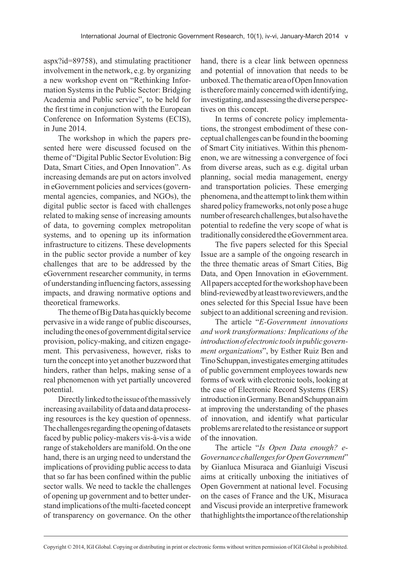[aspx?id=89758](http://aisnet.org/members/group.aspx?id=89758)), and stimulating practitioner involvement in the network, e.g. by organizing a new workshop event on "Rethinking Information Systems in the Public Sector: Bridging Academia and Public service", to be held for the first time in conjunction with the European Conference on Information Systems (ECIS), in June 2014.

The workshop in which the papers presented here were discussed focused on the theme of "Digital Public Sector Evolution: Big Data, Smart Cities, and Open Innovation". As increasing demands are put on actors involved in eGovernment policies and services (governmental agencies, companies, and NGOs), the digital public sector is faced with challenges related to making sense of increasing amounts of data, to governing complex metropolitan systems, and to opening up its information infrastructure to citizens. These developments in the public sector provide a number of key challenges that are to be addressed by the eGovernment researcher community, in terms of understanding influencing factors, assessing impacts, and drawing normative options and theoretical frameworks.

The theme of Big Data has quickly become pervasive in a wide range of public discourses, including the ones of government digital service provision, policy-making, and citizen engagement. This pervasiveness, however, risks to turn the concept into yet another buzzword that hinders, rather than helps, making sense of a real phenomenon with yet partially uncovered potential.

Directly linked to the issue of the massively increasing availability of data and data processing resources is the key question of openness. The challenges regarding the opening of datasets faced by public policy-makers vis-à-vis a wide range of stakeholders are manifold. On the one hand, there is an urging need to understand the implications of providing public access to data that so far has been confined within the public sector walls. We need to tackle the challenges of opening up government and to better understand implications of the multi-faceted concept of transparency on governance. On the other

hand, there is a clear link between openness and potential of innovation that needs to be unboxed. The thematic area of Open Innovation is therefore mainly concerned with identifying, investigating, and assessing the diverse perspectives on this concept.

In terms of concrete policy implementations, the strongest embodiment of these conceptual challenges can be found in the booming of Smart City initiatives. Within this phenomenon, we are witnessing a convergence of foci from diverse areas, such as e.g. digital urban planning, social media management, energy and transportation policies. These emerging phenomena, and the attempt to link them within shared policy frameworks, not only pose a huge number of research challenges, but also have the potential to redefine the very scope of what is traditionally considered the eGovernment area.

The five papers selected for this Special Issue are a sample of the ongoing research in the three thematic areas of Smart Cities, Big Data, and Open Innovation in eGovernment. All papers accepted for the workshop have been blind-reviewed by at least two reviewers, and the ones selected for this Special Issue have been subject to an additional screening and revision.

The article "*E-Government innovations and work transformations: Implications of the introduction of electronic tools in public government organizations*", by Esther Ruiz Ben and Tino Schuppan, investigates emerging attitudes of public government employees towards new forms of work with electronic tools, looking at the case of Electronic Record Systems (ERS) introduction in Germany. Ben and Schuppan aim at improving the understanding of the phases of innovation, and identify what particular problems are related to the resistance or support of the innovation.

The article "*Is Open Data enough? e-Governance challenges for Open Government*" by Gianluca Misuraca and Gianluigi Viscusi aims at critically unboxing the initiatives of Open Government at national level. Focusing on the cases of France and the UK, Misuraca and Viscusi provide an interpretive framework that highlights the importance of the relationship